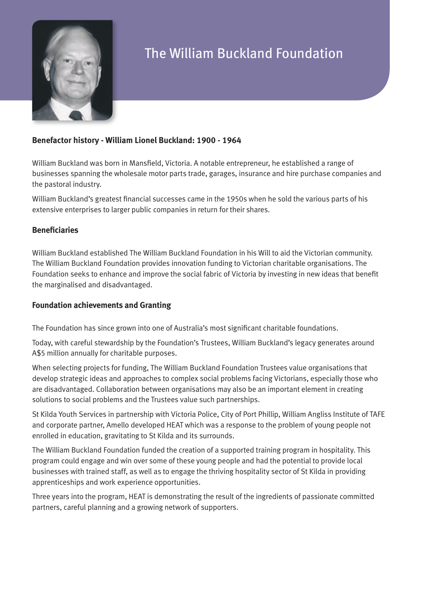

# The William Buckland Foundation

# **Benefactor history - William Lionel Buckland: 1900 - 1964**

William Buckland was born in Mansfield, Victoria. A notable entrepreneur, he established a range of businesses spanning the wholesale motor parts trade, garages, insurance and hire purchase companies and the pastoral industry.

William Buckland's greatest financial successes came in the 1950s when he sold the various parts of his extensive enterprises to larger public companies in return for their shares.

#### **Beneficiaries**

William Buckland established The William Buckland Foundation in his Will to aid the Victorian community. The William Buckland Foundation provides innovation funding to Victorian charitable organisations. The Foundation seeks to enhance and improve the social fabric of Victoria by investing in new ideas that benefit the marginalised and disadvantaged.

### **Foundation achievements and Granting**

The Foundation has since grown into one of Australia's most significant charitable foundations.

Today, with careful stewardship by the Foundation's Trustees, William Buckland's legacy generates around A\$5 million annually for charitable purposes.

When selecting projects for funding, The William Buckland Foundation Trustees value organisations that develop strategic ideas and approaches to complex social problems facing Victorians, especially those who are disadvantaged. Collaboration between organisations may also be an important element in creating solutions to social problems and the Trustees value such partnerships.

St Kilda Youth Services in partnership with Victoria Police, City of Port Phillip, William Angliss Institute of TAFE and corporate partner, Amello developed HEAT which was a response to the problem of young people not enrolled in education, gravitating to St Kilda and its surrounds.

The William Buckland Foundation funded the creation of a supported training program in hospitality. This program could engage and win over some of these young people and had the potential to provide local businesses with trained staff, as well as to engage the thriving hospitality sector of St Kilda in providing apprenticeships and work experience opportunities.

Three years into the program, HEAT is demonstrating the result of the ingredients of passionate committed partners, careful planning and a growing network of supporters.